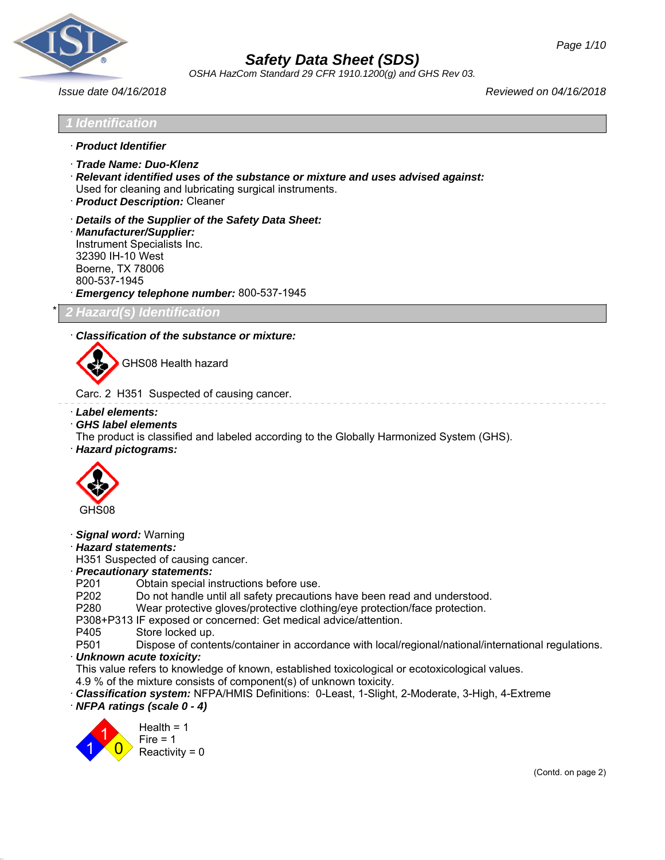

*OSHA HazCom Standard 29 CFR 1910.1200(g) and GHS Rev 03.*

*Issue date 04/16/2018 Reviewed on 04/16/2018*

# *1 Identification*

- · *Product Identifier*
- · *Trade Name: Duo-Klenz*
- · *Relevant identified uses of the substance or mixture and uses advised against:* Used for cleaning and lubricating surgical instruments.
- · *Product Description:* Cleaner
- · *Details of the Supplier of the Safety Data Sheet:*

· *Manufacturer/Supplier:* Instrument Specialists Inc. 32390 IH-10 West Boerne, TX 78006 800-537-1945 · *Emergency telephone number:* 800-537-1945

\* *2 Hazard(s) Identification*

## · *Classification of the substance or mixture:*



GHS08 Health hazard

Carc. 2 H351 Suspected of causing cancer.

- · *Label elements:*
- · *GHS label elements*

The product is classified and labeled according to the Globally Harmonized System (GHS).

· *Hazard pictograms:*



- · *Signal word:* Warning
- · *Hazard statements:*

H351 Suspected of causing cancer.

## · *Precautionary statements:*

- P201 Obtain special instructions before use.
- P202 Do not handle until all safety precautions have been read and understood.<br>P280 Wear protective gloves/protective clothing/eve protection/face protection.
- Wear protective gloves/protective clothing/eye protection/face protection.
- P308+P313 IF exposed or concerned: Get medical advice/attention.
- P405 Store locked up.
- P501 Dispose of contents/container in accordance with local/regional/national/international regulations.

#### · *Unknown acute toxicity:*

- This value refers to knowledge of known, established toxicological or ecotoxicological values.
- 4.9 % of the mixture consists of component(s) of unknown toxicity.
- · *Classification system:* NFPA/HMIS Definitions: 0-Least, 1-Slight, 2-Moderate, 3-High, 4-Extreme
- · *NFPA ratings (scale 0 4)*

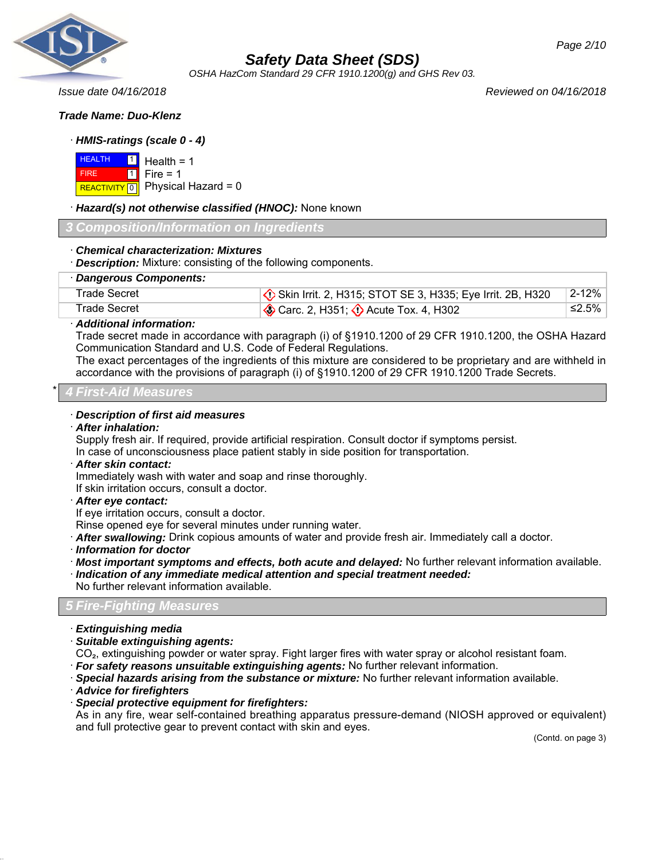

*OSHA HazCom Standard 29 CFR 1910.1200(g) and GHS Rev 03.*

*Issue date 04/16/2018 Reviewed on 04/16/2018*

#### *Trade Name: Duo-Klenz*

## · *HMIS-ratings (scale 0 - 4)*

 HEALTH **FIRE REACTIVITY** 0 1 1 Health  $= 1$  $Fire = 1$ Physical Hazard = 0

· *Hazard(s) not otherwise classified (HNOC):* None known

#### *3 Composition/Information on Ingredients*

· *Chemical characterization: Mixtures*

· *Description:* Mixture: consisting of the following components.

|  | · Dangerous Components: |
|--|-------------------------|
|--|-------------------------|

| Trade Secret | $\langle \cdot \rangle$ Skin Irrit. 2, H315; STOT SE 3, H335; Eye Irrit. 2B, H320 | $\mid$ 2-12% |
|--------------|-----------------------------------------------------------------------------------|--------------|
| Trade Secret | $\otimes$ Carc. 2, H351; $\otimes$ Acute Tox. 4, H302                             | ≤2.5%        |

#### · *Additional information:*

Trade secret made in accordance with paragraph (i) of §1910.1200 of 29 CFR 1910.1200, the OSHA Hazard Communication Standard and U.S. Code of Federal Regulations.

The exact percentages of the ingredients of this mixture are considered to be proprietary and are withheld in accordance with the provisions of paragraph (i) of §1910.1200 of 29 CFR 1910.1200 Trade Secrets.

#### \* *4 First-Aid Measures*

## · *Description of first aid measures*

#### · *After inhalation:*

Supply fresh air. If required, provide artificial respiration. Consult doctor if symptoms persist. In case of unconsciousness place patient stably in side position for transportation.

#### · *After skin contact:*

Immediately wash with water and soap and rinse thoroughly.

If skin irritation occurs, consult a doctor.

#### · *After eye contact:*

If eye irritation occurs, consult a doctor.

Rinse opened eye for several minutes under running water.

· *After swallowing:* Drink copious amounts of water and provide fresh air. Immediately call a doctor.

· *Information for doctor*

- · *Most important symptoms and effects, both acute and delayed:* No further relevant information available. · *Indication of any immediate medical attention and special treatment needed:*
- No further relevant information available.

## *5 Fire-Fighting Measures*

- · *Extinguishing media*
- · *Suitable extinguishing agents:*
- CO₂, extinguishing powder or water spray. Fight larger fires with water spray or alcohol resistant foam.
- · *For safety reasons unsuitable extinguishing agents:* No further relevant information.
- · *Special hazards arising from the substance or mixture:* No further relevant information available.
- · *Advice for firefighters*
- · *Special protective equipment for firefighters:*

As in any fire, wear self-contained breathing apparatus pressure-demand (NIOSH approved or equivalent) and full protective gear to prevent contact with skin and eyes.

(Contd. on page 3)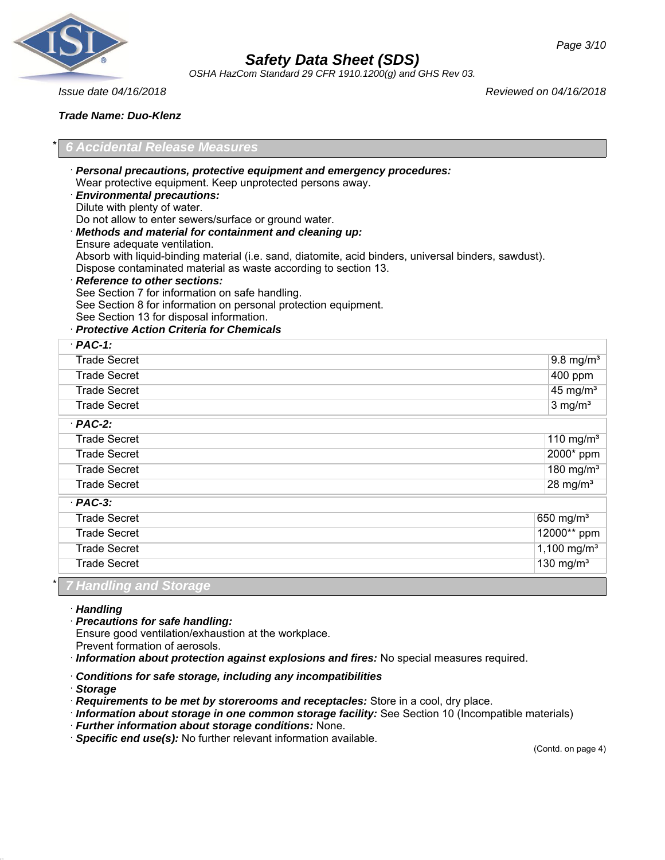

*OSHA HazCom Standard 29 CFR 1910.1200(g) and GHS Rev 03.*

*Issue date 04/16/2018 Reviewed on 04/16/2018*

## *Trade Name: Duo-Klenz*

## \* *6 Accidental Release Measures*

Wear protective equipment. Keep unprotected persons away. · *Environmental precautions:* Dilute with plenty of water. Do not allow to enter sewers/surface or ground water. · *Methods and material for containment and cleaning up:* Ensure adequate ventilation. Absorb with liquid-binding material (i.e. sand, diatomite, acid binders, universal binders, sawdust). Dispose contaminated material as waste according to section 13. · *Reference to other sections:* See Section 7 for information on safe handling. See Section 8 for information on personal protection equipment. See Section 13 for disposal information. · *Protective Action Criteria for Chemicals* · *PAC-1:* Trade Secret 9.8 mg/m<sup>3</sup> 9.8 mg/m<sup>3</sup> Trade Secret 2000 ppm Trade Secret 45 mg/m<sup>3</sup> and 15 mg/m<sup>3</sup> and 15 mg/m<sup>3</sup> and 15 mg/m<sup>3</sup> and 15 mg/m<sup>3</sup> and 15 mg/m<sup>3</sup> Trade Secret 3 mg/m<sup>3</sup>

· *Personal precautions, protective equipment and emergency procedures:*

| $·$ PAC-2:                    |                         |
|-------------------------------|-------------------------|
| <b>Trade Secret</b>           | 110 mg/m <sup>3</sup>   |
| <b>Trade Secret</b>           | 2000* ppm               |
| <b>Trade Secret</b>           | 180 mg/m <sup>3</sup>   |
| <b>Trade Secret</b>           | $28$ mg/m <sup>3</sup>  |
| $·$ PAC-3:                    |                         |
| <b>Trade Secret</b>           | 650 mg/m <sup>3</sup>   |
| <b>Trade Secret</b>           | 12000** ppm             |
| <b>Trade Secret</b>           | 1,100 mg/m <sup>3</sup> |
| <b>Trade Secret</b>           | 130 mg/m $3$            |
| *  <br>7 Handling and Storage |                         |

#### · *Handling*

#### · *Precautions for safe handling:*

Ensure good ventilation/exhaustion at the workplace.

Prevent formation of aerosols.

· *Information about protection against explosions and fires:* No special measures required.

#### · *Conditions for safe storage, including any incompatibilities*

· *Storage*

· *Requirements to be met by storerooms and receptacles:* Store in a cool, dry place.

· *Information about storage in one common storage facility:* See Section 10 (Incompatible materials)

· *Further information about storage conditions:* None.

· *Specific end use(s):* No further relevant information available.

(Contd. on page 4)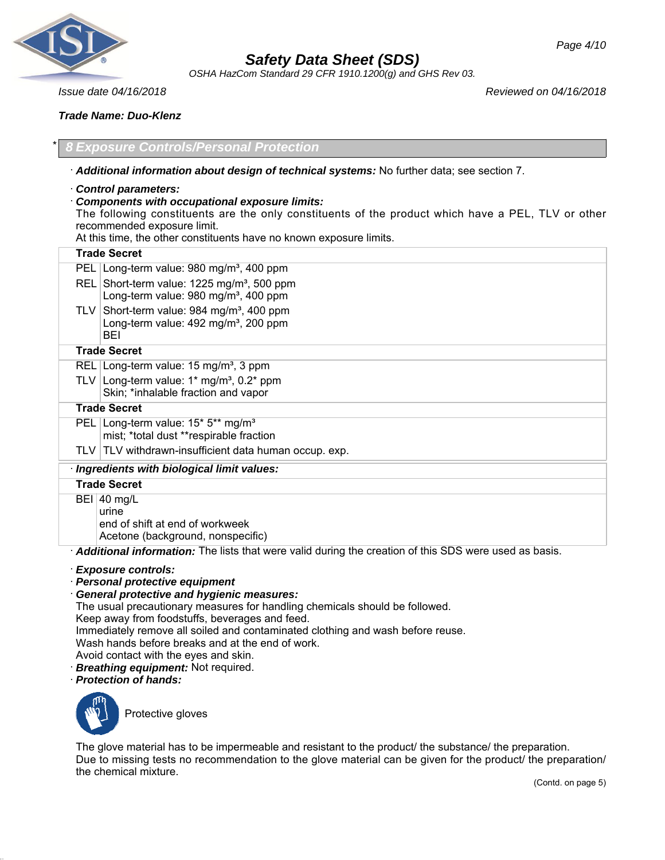

*OSHA HazCom Standard 29 CFR 1910.1200(g) and GHS Rev 03.*

*Issue date 04/16/2018 Reviewed on 04/16/2018*

*Trade Name: Duo-Klenz*

\* *8 Exposure Controls/Personal Protection*

· *Additional information about design of technical systems:* No further data; see section 7.

- · *Control parameters:*
- · *Components with occupational exposure limits:*

The following constituents are the only constituents of the product which have a PEL, TLV or other recommended exposure limit.

At this time, the other constituents have no known exposure limits.

| <b>Trade Secret</b>                                                                                             |
|-----------------------------------------------------------------------------------------------------------------|
| PEL Long-term value: 980 mg/m <sup>3</sup> , 400 ppm                                                            |
| REL Short-term value: 1225 mg/m <sup>3</sup> , 500 ppm<br>Long-term value: 980 mg/m <sup>3</sup> , 400 ppm      |
| TLV Short-term value: 984 mg/m <sup>3</sup> , 400 ppm<br>Long-term value: $492 \text{ mg/m}^3$ , 200 ppm<br>BEI |
| <b>Trade Secret</b>                                                                                             |
| REL Long-term value: 15 mg/m <sup>3</sup> , 3 ppm                                                               |
| TLV Long-term value: $1*$ mg/m <sup>3</sup> , 0.2* ppm<br>Skin; *inhalable fraction and vapor                   |
| <b>Trade Secret</b>                                                                                             |
| PEL Long-term value: 15* 5** mg/m <sup>3</sup><br>mist; *total dust **respirable fraction                       |
| TLV TLV withdrawn-insufficient data human occup. exp.                                                           |
| · Ingredients with biological limit values:                                                                     |
| <b>Trade Secret</b>                                                                                             |
| $BEI$ 40 mg/L<br>urine<br>end of shift at end of workweek<br>Acetone (background, nonspecific)                  |
| Additional information: The lists that were valid during the creation of this SDS were used as basis.           |

- · *Exposure controls:*
- · *Personal protective equipment*
- · *General protective and hygienic measures:*

The usual precautionary measures for handling chemicals should be followed.

Keep away from foodstuffs, beverages and feed.

Immediately remove all soiled and contaminated clothing and wash before reuse.

Wash hands before breaks and at the end of work.

- Avoid contact with the eyes and skin.
- · *Breathing equipment:* Not required.

· *Protection of hands:*



Protective gloves

The glove material has to be impermeable and resistant to the product/ the substance/ the preparation. Due to missing tests no recommendation to the glove material can be given for the product/ the preparation/ the chemical mixture.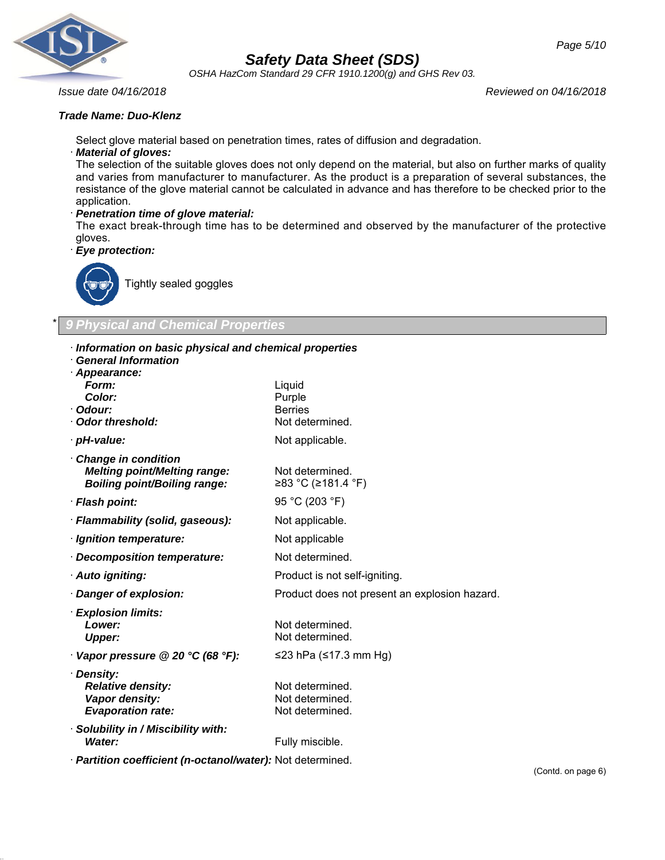

*OSHA HazCom Standard 29 CFR 1910.1200(g) and GHS Rev 03.*

*Issue date 04/16/2018 Reviewed on 04/16/2018*

#### *Trade Name: Duo-Klenz*

Select glove material based on penetration times, rates of diffusion and degradation.

#### · *Material of gloves:*

The selection of the suitable gloves does not only depend on the material, but also on further marks of quality and varies from manufacturer to manufacturer. As the product is a preparation of several substances, the resistance of the glove material cannot be calculated in advance and has therefore to be checked prior to the application.

#### · *Penetration time of glove material:*

The exact break-through time has to be determined and observed by the manufacturer of the protective gloves.

· *Eye protection:*



Tightly sealed goggles

## \* *9 Physical and Chemical Properties*

- · *Information on basic physical and chemical properties*
- · *General Information*

| Liquid<br>Purple<br><b>Berries</b><br>Not determined. |
|-------------------------------------------------------|
| Not applicable.                                       |
| Not determined.<br>≥83 °C (≥181.4 °F)                 |
| 95 °C (203 °F)                                        |
| Not applicable.                                       |
| Not applicable                                        |
| Not determined.                                       |
| Product is not self-igniting.                         |
| Product does not present an explosion hazard.         |
| Not determined.<br>Not determined.                    |
| ≤23 hPa (≤17.3 mm Hg)                                 |
| Not determined.<br>Not determined.<br>Not determined. |
| Fully miscible.                                       |
|                                                       |

· *Partition coefficient (n-octanol/water):* Not determined.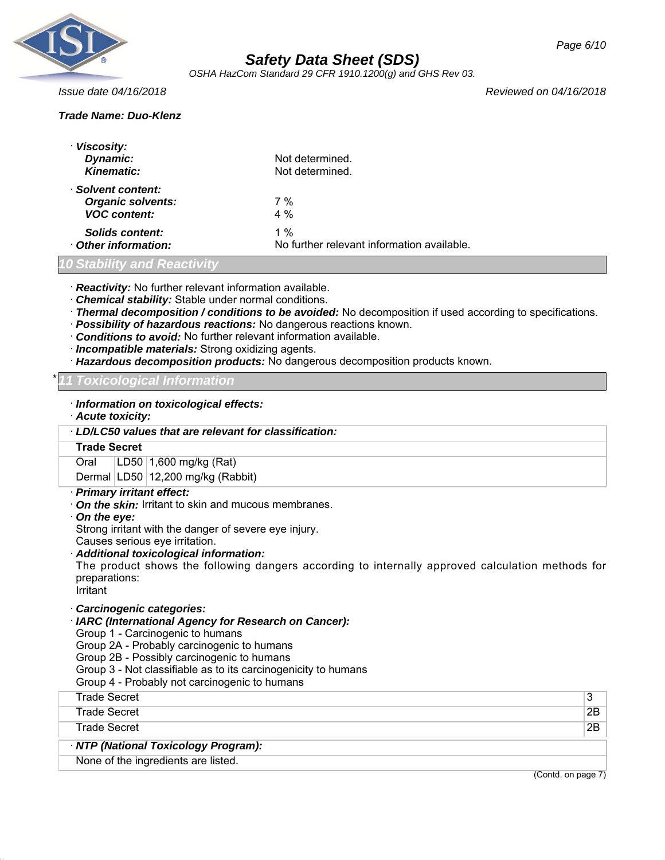

*OSHA HazCom Standard 29 CFR 1910.1200(g) and GHS Rev 03.*

*Issue date 04/16/2018 Reviewed on 04/16/2018*

## *Trade Name: Duo-Klenz*

| · Viscosity:<br>Dynamic:<br>Kinematic:                                | Not determined.<br>Not determined.                |
|-----------------------------------------------------------------------|---------------------------------------------------|
| · Solvent content:<br><b>Organic solvents:</b><br><b>VOC content:</b> | 7%<br>$4\%$                                       |
| Solids content:<br>Other information:                                 | 1 %<br>No further relevant information available. |

#### *10 Stability and Reactivity*

· *Reactivity:* No further relevant information available.

- · *Chemical stability:* Stable under normal conditions.
- · *Thermal decomposition / conditions to be avoided:* No decomposition if used according to specifications.
- · *Possibility of hazardous reactions:* No dangerous reactions known.
- · *Conditions to avoid:* No further relevant information available.
- · *Incompatible materials:* Strong oxidizing agents.
- · *Hazardous decomposition products:* No dangerous decomposition products known.

#### \* *11 Toxicological Information*

- · *Information on toxicological effects:*
- · *Acute toxicity:*

#### · *LD/LC50 values that are relevant for classification:*

#### **Trade Secret**

Oral LD50 1,600 mg/kg (Rat)

Dermal LD50 12,200 mg/kg (Rabbit)

#### · *Primary irritant effect:*

- · *On the skin:* Irritant to skin and mucous membranes.
- · *On the eye:*
- Strong irritant with the danger of severe eye injury.
- Causes serious eye irritation.

#### · *Additional toxicological information:*

The product shows the following dangers according to internally approved calculation methods for preparations:

**Irritant** 

## · *Carcinogenic categories:*

· *IARC (International Agency for Research on Cancer):*

Group 1 - Carcinogenic to humans

- Group 2A Probably carcinogenic to humans
- Group 2B Possibly carcinogenic to humans
- Group 3 Not classifiable as to its carcinogenicity to humans
- Group 4 Probably not carcinogenic to humans

| None of the ingredients are listed.  |    |
|--------------------------------------|----|
| · NTP (National Toxicology Program): |    |
| <b>Trade Secret</b>                  | 2B |
| <b>Trade Secret</b>                  | 2B |
| Trade Secret                         | 3  |

(Contd. on page 7)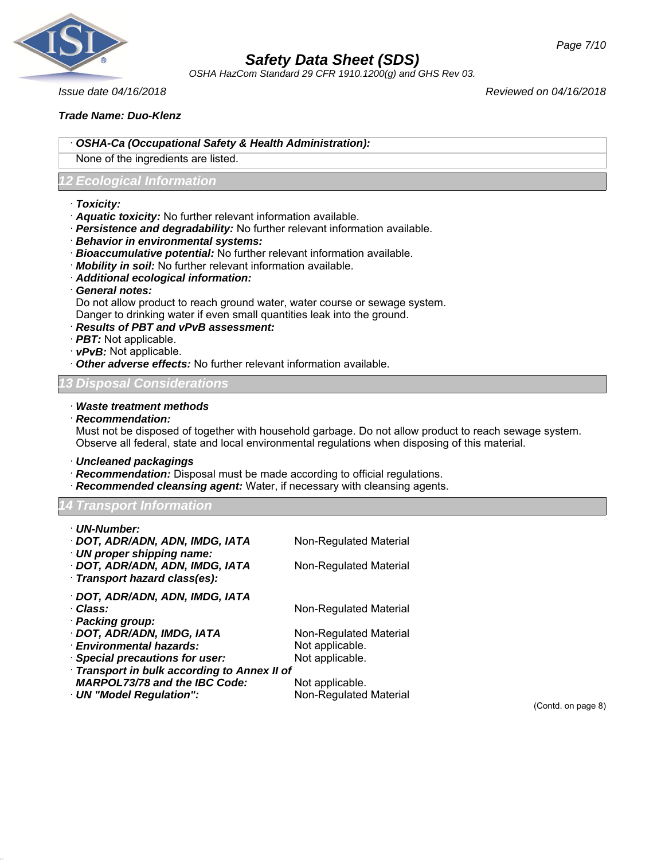

*OSHA HazCom Standard 29 CFR 1910.1200(g) and GHS Rev 03.*

*Issue date 04/16/2018 Reviewed on 04/16/2018*

## *Trade Name: Duo-Klenz*

- · *OSHA-Ca (Occupational Safety & Health Administration):*
- None of the ingredients are listed.

## *12 Ecological Information*

- · *Toxicity:*
- · *Aquatic toxicity:* No further relevant information available.
- · *Persistence and degradability:* No further relevant information available.
- · *Behavior in environmental systems:*
- · *Bioaccumulative potential:* No further relevant information available.
- · *Mobility in soil:* No further relevant information available.
- · *Additional ecological information:*
- · *General notes:*

Do not allow product to reach ground water, water course or sewage system.

- Danger to drinking water if even small quantities leak into the ground.
- · *Results of PBT and vPvB assessment:*
- · *PBT:* Not applicable.
- · *vPvB:* Not applicable.
- · *Other adverse effects:* No further relevant information available.

## *13 Disposal Considerations*

- · *Waste treatment methods*
- · *Recommendation:*

Must not be disposed of together with household garbage. Do not allow product to reach sewage system. Observe all federal, state and local environmental regulations when disposing of this material.

· *Uncleaned packagings*

- · *Recommendation:* Disposal must be made according to official regulations.
- · *Recommended cleansing agent:* Water, if necessary with cleansing agents.

*14 Transport Information*

| · UN-Number:                                                |                                |
|-------------------------------------------------------------|--------------------------------|
| · DOT, ADR/ADN, ADN, IMDG, IATA                             | Non-Regulated Material         |
| UN proper shipping name:<br>· DOT, ADR/ADN, ADN, IMDG, IATA |                                |
| · Transport hazard class(es):                               | Non-Regulated Material         |
| · DOT, ADR/ADN, ADN, IMDG, IATA                             |                                |
| · Class:                                                    | Non-Regulated Material         |
| · Packing group:                                            |                                |
| · DOT, ADR/ADN, IMDG, IATA                                  | Non-Regulated Material         |
| · Environmental hazards:                                    | Not applicable.                |
| · Special precautions for user:                             | Not applicable.                |
| Transport in bulk according to Annex II of                  |                                |
| <b>MARPOL73/78 and the IBC Code:</b>                        | Not applicable.                |
| UN "Model Regulation":                                      | <b>Non-Regulated Material</b>  |
|                                                             | $(Conted \cap \text{name } R)$ |

(Contd. on page 8)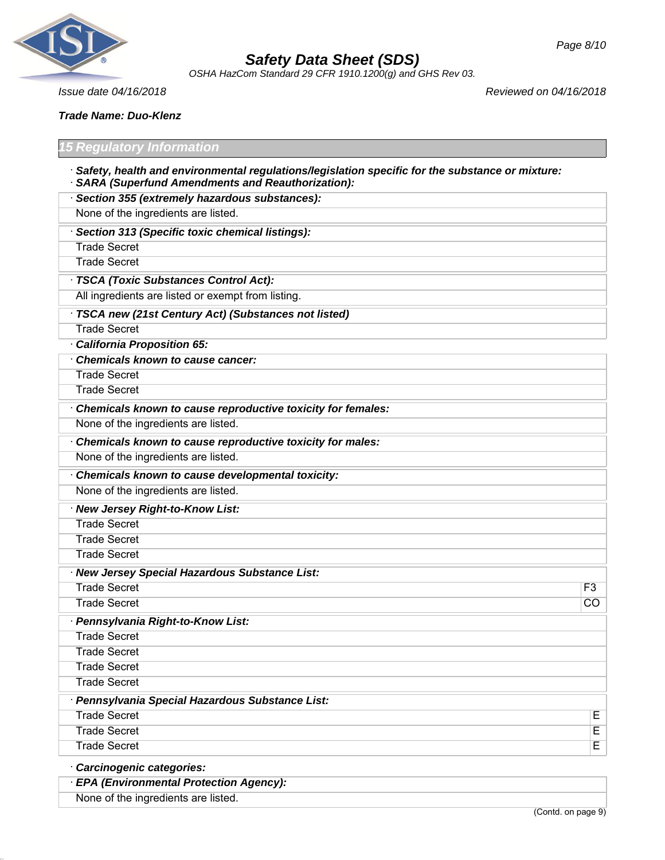

*OSHA HazCom Standard 29 CFR 1910.1200(g) and GHS Rev 03.*

*Page 8/10*

*Issue date 04/16/2018 Reviewed on 04/16/2018*

*Trade Name: Duo-Klenz*

#### *15 Regulatory Information*

- · *Safety, health and environmental regulations/legislation specific for the substance or mixture:* · *SARA (Superfund Amendments and Reauthorization):*
- · *Section 355 (extremely hazardous substances):* None of the ingredients are listed. · *Section 313 (Specific toxic chemical listings):* Trade Secret Trade Secret · *TSCA (Toxic Substances Control Act):* All ingredients are listed or exempt from listing. · *TSCA new (21st Century Act) (Substances not listed)* Trade Secret · *California Proposition 65:* · *Chemicals known to cause cancer:* Trade Secret Trade Secret · *Chemicals known to cause reproductive toxicity for females:* None of the ingredients are listed. · *Chemicals known to cause reproductive toxicity for males:* None of the ingredients are listed. · *Chemicals known to cause developmental toxicity:* None of the ingredients are listed. · *New Jersey Right-to-Know List:* Trade Secret Trade Secret Trade Secret · *New Jersey Special Hazardous Substance List:* Trade Secret F3 Trade Secret **CO** · *Pennsylvania Right-to-Know List:* Trade Secret Trade Secret Trade Secret Trade Secret · *Pennsylvania Special Hazardous Substance List:* Trade Secret E Trade Secret **Executes** Trade Secret **Executes Executes Executes Executes Executes Executes Executes E** · *Carcinogenic categories:* · *EPA (Environmental Protection Agency):*

None of the ingredients are listed.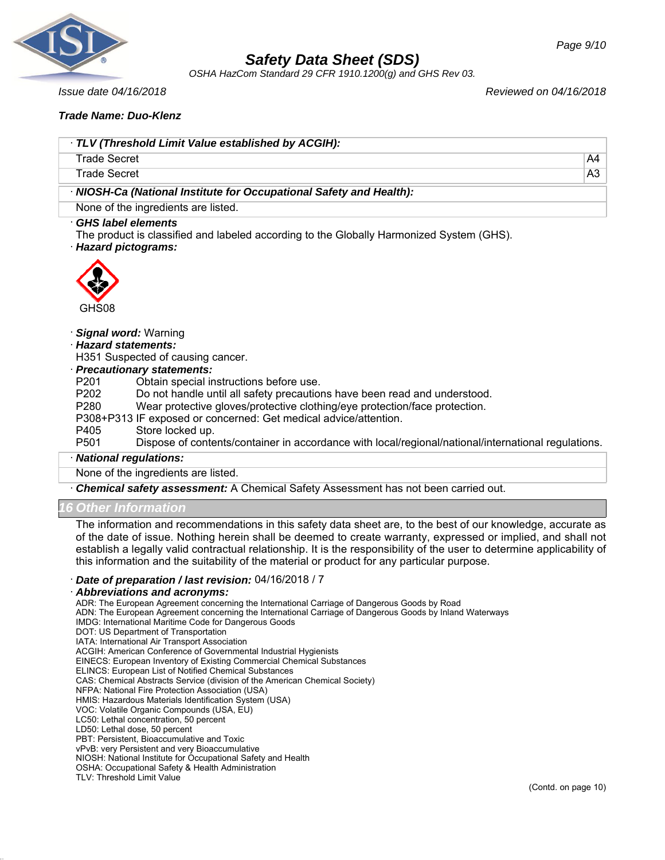

*OSHA HazCom Standard 29 CFR 1910.1200(g) and GHS Rev 03.*

#### *Issue date 04/16/2018 Reviewed on 04/16/2018*

*Page 9/10*

#### *Trade Name: Duo-Klenz*

| TLV (Threshold Limit Value established by ACGIH):                   |                |
|---------------------------------------------------------------------|----------------|
| Trade Secret                                                        | A4             |
| Trade Secret                                                        | A <sub>3</sub> |
| · NIOSH-Ca (National Institute for Occupational Safety and Health): |                |
| None of the ingredients are listed.                                 |                |

#### · *GHS label elements*

The product is classified and labeled according to the Globally Harmonized System (GHS).

#### · *Hazard pictograms:*



#### · *Signal word:* Warning

· *Hazard statements:*

H351 Suspected of causing cancer.

# · *Precautionary statements:*

Obtain special instructions before use.

P202 Do not handle until all safety precautions have been read and understood.

- P280 Wear protective gloves/protective clothing/eye protection/face protection.
- P308+P313 IF exposed or concerned: Get medical advice/attention.
- P405 Store locked up.

P501 Dispose of contents/container in accordance with local/regional/national/international regulations.

#### · *National regulations:*

None of the ingredients are listed.

· *Chemical safety assessment:* A Chemical Safety Assessment has not been carried out.

## *16 Other Information*

The information and recommendations in this safety data sheet are, to the best of our knowledge, accurate as of the date of issue. Nothing herein shall be deemed to create warranty, expressed or implied, and shall not establish a legally valid contractual relationship. It is the responsibility of the user to determine applicability of this information and the suitability of the material or product for any particular purpose.

#### · *Date of preparation / last revision:* 04/16/2018 / 7

#### · *Abbreviations and acronyms:*

ADR: The European Agreement concerning the International Carriage of Dangerous Goods by Road ADN: The European Agreement concerning the International Carriage of Dangerous Goods by Inland Waterways IMDG: International Maritime Code for Dangerous Goods DOT: US Department of Transportation IATA: International Air Transport Association ACGIH: American Conference of Governmental Industrial Hygienists EINECS: European Inventory of Existing Commercial Chemical Substances ELINCS: European List of Notified Chemical Substances CAS: Chemical Abstracts Service (division of the American Chemical Society) NFPA: National Fire Protection Association (USA) HMIS: Hazardous Materials Identification System (USA) VOC: Volatile Organic Compounds (USA, EU) LC50: Lethal concentration, 50 percent LD50: Lethal dose, 50 percent PBT: Persistent, Bioaccumulative and Toxic vPvB: very Persistent and very Bioaccumulative NIOSH: National Institute for Occupational Safety and Health OSHA: Occupational Safety & Health Administration TLV: Threshold Limit Value